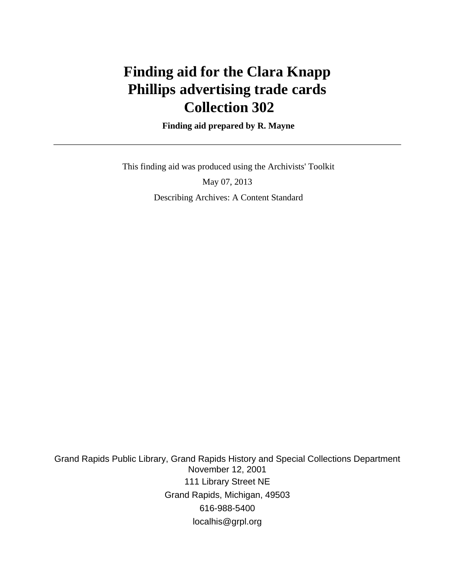# **Finding aid for the Clara Knapp Phillips advertising trade cards Collection 302**

 **Finding aid prepared by R. Mayne**

 This finding aid was produced using the Archivists' Toolkit May 07, 2013 Describing Archives: A Content Standard

Grand Rapids Public Library, Grand Rapids History and Special Collections Department November 12, 2001 111 Library Street NE Grand Rapids, Michigan, 49503 616-988-5400 localhis@grpl.org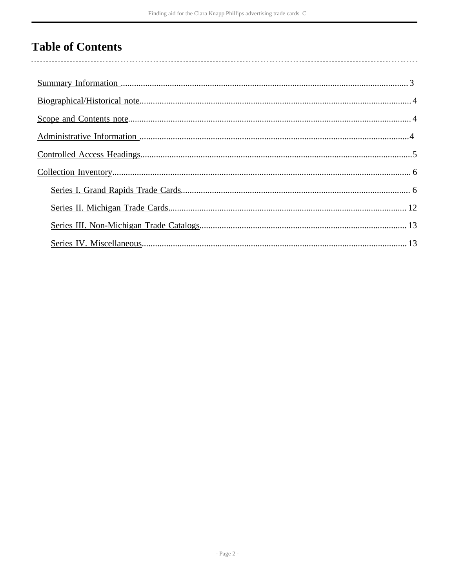## **Table of Contents**

 $\overline{\phantom{a}}$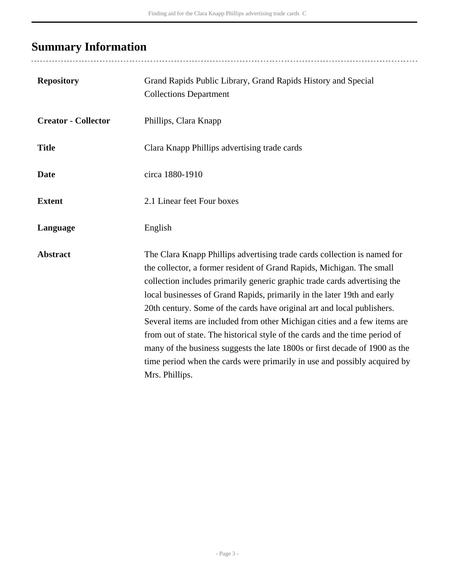## <span id="page-2-0"></span>**Summary Information**

..................................

| <b>Repository</b>          | Grand Rapids Public Library, Grand Rapids History and Special<br><b>Collections Department</b>                                                                                                                                                                                                                                                                                                                                                                                                                                                                                                                                                                                                                                 |
|----------------------------|--------------------------------------------------------------------------------------------------------------------------------------------------------------------------------------------------------------------------------------------------------------------------------------------------------------------------------------------------------------------------------------------------------------------------------------------------------------------------------------------------------------------------------------------------------------------------------------------------------------------------------------------------------------------------------------------------------------------------------|
| <b>Creator - Collector</b> | Phillips, Clara Knapp                                                                                                                                                                                                                                                                                                                                                                                                                                                                                                                                                                                                                                                                                                          |
| <b>Title</b>               | Clara Knapp Phillips advertising trade cards                                                                                                                                                                                                                                                                                                                                                                                                                                                                                                                                                                                                                                                                                   |
| <b>Date</b>                | circa 1880-1910                                                                                                                                                                                                                                                                                                                                                                                                                                                                                                                                                                                                                                                                                                                |
| <b>Extent</b>              | 2.1 Linear feet Four boxes                                                                                                                                                                                                                                                                                                                                                                                                                                                                                                                                                                                                                                                                                                     |
| Language                   | English                                                                                                                                                                                                                                                                                                                                                                                                                                                                                                                                                                                                                                                                                                                        |
| <b>Abstract</b>            | The Clara Knapp Phillips advertising trade cards collection is named for<br>the collector, a former resident of Grand Rapids, Michigan. The small<br>collection includes primarily generic graphic trade cards advertising the<br>local businesses of Grand Rapids, primarily in the later 19th and early<br>20th century. Some of the cards have original art and local publishers.<br>Several items are included from other Michigan cities and a few items are<br>from out of state. The historical style of the cards and the time period of<br>many of the business suggests the late 1800s or first decade of 1900 as the<br>time period when the cards were primarily in use and possibly acquired by<br>Mrs. Phillips. |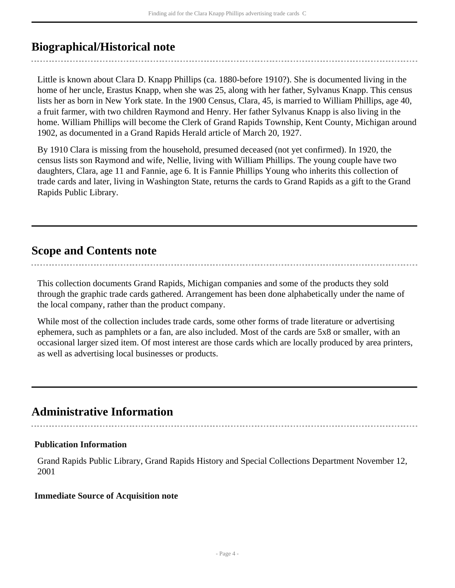### <span id="page-3-0"></span>**Biographical/Historical note**

Little is known about Clara D. Knapp Phillips (ca. 1880-before 1910?). She is documented living in the home of her uncle, Erastus Knapp, when she was 25, along with her father, Sylvanus Knapp. This census lists her as born in New York state. In the 1900 Census, Clara, 45, is married to William Phillips, age 40, a fruit farmer, with two children Raymond and Henry. Her father Sylvanus Knapp is also living in the home. William Phillips will become the Clerk of Grand Rapids Township, Kent County, Michigan around 1902, as documented in a Grand Rapids Herald article of March 20, 1927.

By 1910 Clara is missing from the household, presumed deceased (not yet confirmed). In 1920, the census lists son Raymond and wife, Nellie, living with William Phillips. The young couple have two daughters, Clara, age 11 and Fannie, age 6. It is Fannie Phillips Young who inherits this collection of trade cards and later, living in Washington State, returns the cards to Grand Rapids as a gift to the Grand Rapids Public Library.

### <span id="page-3-1"></span>**Scope and Contents note**

This collection documents Grand Rapids, Michigan companies and some of the products they sold through the graphic trade cards gathered. Arrangement has been done alphabetically under the name of the local company, rather than the product company.

While most of the collection includes trade cards, some other forms of trade literature or advertising ephemera, such as pamphlets or a fan, are also included. Most of the cards are 5x8 or smaller, with an occasional larger sized item. Of most interest are those cards which are locally produced by area printers, as well as advertising local businesses or products.

### <span id="page-3-2"></span>**Administrative Information**

#### **Publication Information**

Grand Rapids Public Library, Grand Rapids History and Special Collections Department November 12, 2001

#### **Immediate Source of Acquisition note**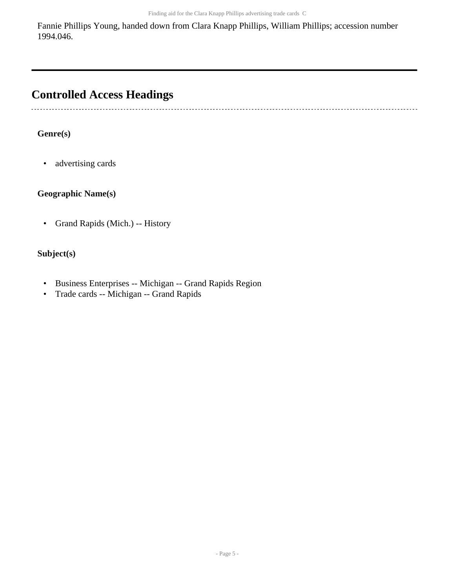Fannie Phillips Young, handed down from Clara Knapp Phillips, William Phillips; accession number 1994.046.

### <span id="page-4-0"></span>**Controlled Access Headings**

#### **Genre(s)**

• advertising cards

#### **Geographic Name(s)**

• Grand Rapids (Mich.) -- History

#### **Subject(s)**

- Business Enterprises -- Michigan -- Grand Rapids Region
- Trade cards -- Michigan -- Grand Rapids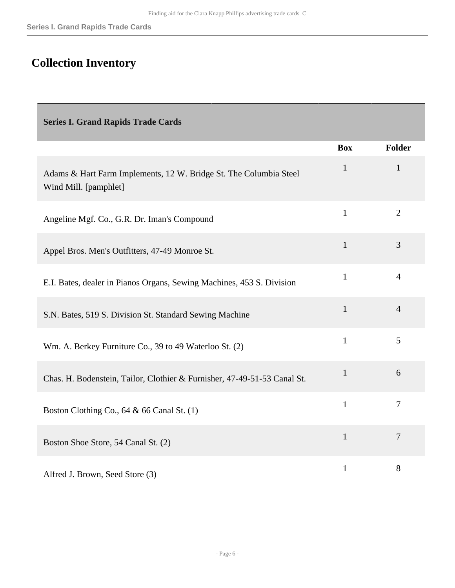## <span id="page-5-0"></span>**Collection Inventory**

<span id="page-5-1"></span>

| <b>Series I. Grand Rapids Trade Cards</b>                                                  |              |                |
|--------------------------------------------------------------------------------------------|--------------|----------------|
|                                                                                            | <b>Box</b>   | Folder         |
| Adams & Hart Farm Implements, 12 W. Bridge St. The Columbia Steel<br>Wind Mill. [pamphlet] | $\mathbf{1}$ | $\mathbf{1}$   |
| Angeline Mgf. Co., G.R. Dr. Iman's Compound                                                | $\mathbf{1}$ | $\overline{2}$ |
| Appel Bros. Men's Outfitters, 47-49 Monroe St.                                             | $\mathbf{1}$ | 3              |
| E.I. Bates, dealer in Pianos Organs, Sewing Machines, 453 S. Division                      | $\mathbf{1}$ | $\overline{4}$ |
| S.N. Bates, 519 S. Division St. Standard Sewing Machine                                    | $\mathbf{1}$ | $\overline{4}$ |
| Wm. A. Berkey Furniture Co., 39 to 49 Waterloo St. (2)                                     | $\mathbf{1}$ | 5              |
| Chas. H. Bodenstein, Tailor, Clothier & Furnisher, 47-49-51-53 Canal St.                   | $\mathbf{1}$ | 6              |
| Boston Clothing Co., 64 & 66 Canal St. (1)                                                 | $\mathbf{1}$ | $\overline{7}$ |
| Boston Shoe Store, 54 Canal St. (2)                                                        | $\mathbf{1}$ | $\overline{7}$ |
| Alfred J. Brown, Seed Store (3)                                                            | $\mathbf{1}$ | 8              |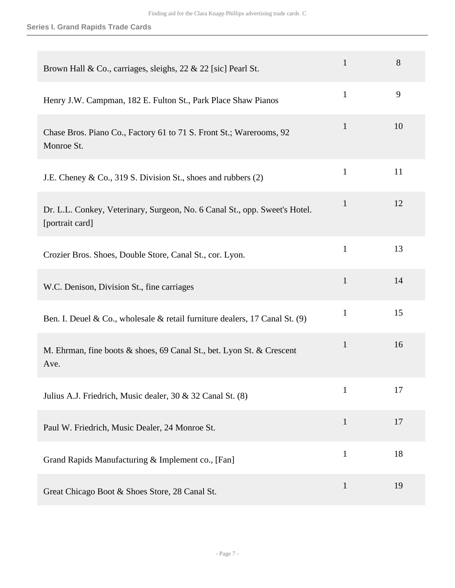| Brown Hall & Co., carriages, sleighs, 22 & 22 [sic] Pearl St.                                 | $\mathbf{1}$ | 8  |
|-----------------------------------------------------------------------------------------------|--------------|----|
| Henry J.W. Campman, 182 E. Fulton St., Park Place Shaw Pianos                                 | $\mathbf{1}$ | 9  |
| Chase Bros. Piano Co., Factory 61 to 71 S. Front St.; Warerooms, 92<br>Monroe St.             | $\mathbf{1}$ | 10 |
| J.E. Cheney & Co., 319 S. Division St., shoes and rubbers (2)                                 | $\mathbf{1}$ | 11 |
| Dr. L.L. Conkey, Veterinary, Surgeon, No. 6 Canal St., opp. Sweet's Hotel.<br>[portrait card] | $\mathbf{1}$ | 12 |
| Crozier Bros. Shoes, Double Store, Canal St., cor. Lyon.                                      | $\mathbf{1}$ | 13 |
| W.C. Denison, Division St., fine carriages                                                    | $\mathbf{1}$ | 14 |
| Ben. I. Deuel & Co., wholesale & retail furniture dealers, 17 Canal St. (9)                   | $\mathbf{1}$ | 15 |
| M. Ehrman, fine boots & shoes, 69 Canal St., bet. Lyon St. & Crescent<br>Ave.                 | $\mathbf{1}$ | 16 |
| Julius A.J. Friedrich, Music dealer, 30 & 32 Canal St. (8)                                    | $\mathbf{1}$ | 17 |
| Paul W. Friedrich, Music Dealer, 24 Monroe St.                                                | $\mathbf{1}$ | 17 |
| Grand Rapids Manufacturing & Implement co., [Fan]                                             | $\mathbf{1}$ | 18 |
| Great Chicago Boot & Shoes Store, 28 Canal St.                                                | $\mathbf{1}$ | 19 |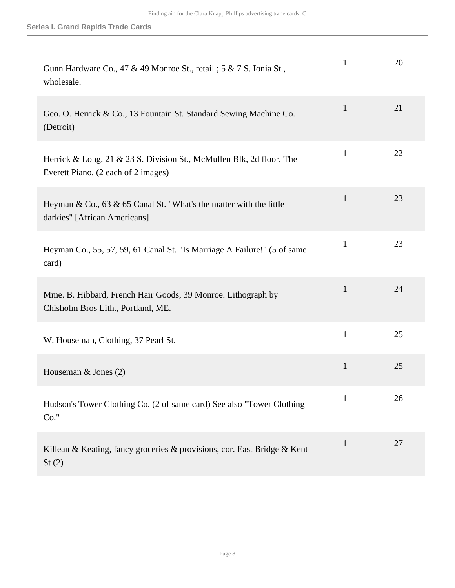| Gunn Hardware Co., 47 & 49 Monroe St., retail; 5 & 7 S. Ionia St.,<br>wholesale.                            | 1            | 20 |
|-------------------------------------------------------------------------------------------------------------|--------------|----|
| Geo. O. Herrick & Co., 13 Fountain St. Standard Sewing Machine Co.<br>(Detroit)                             | $\mathbf{1}$ | 21 |
| Herrick & Long, 21 & 23 S. Division St., McMullen Blk, 2d floor, The<br>Everett Piano. (2 each of 2 images) | $\mathbf{1}$ | 22 |
| Heyman & Co., 63 & 65 Canal St. "What's the matter with the little<br>darkies" [African Americans]          | $\mathbf{1}$ | 23 |
| Heyman Co., 55, 57, 59, 61 Canal St. "Is Marriage A Failure!" (5 of same<br>card)                           | $\mathbf{1}$ | 23 |
| Mme. B. Hibbard, French Hair Goods, 39 Monroe. Lithograph by<br>Chisholm Bros Lith., Portland, ME.          | $\mathbf{1}$ | 24 |
| W. Houseman, Clothing, 37 Pearl St.                                                                         | $\mathbf{1}$ | 25 |
| Houseman $&$ Jones (2)                                                                                      | $\mathbf{1}$ | 25 |
| Hudson's Tower Clothing Co. (2 of same card) See also "Tower Clothing<br>$Co.$ "                            | 1            | 26 |
| Killean & Keating, fancy groceries & provisions, cor. East Bridge & Kent<br>St(2)                           | $\mathbf{1}$ | 27 |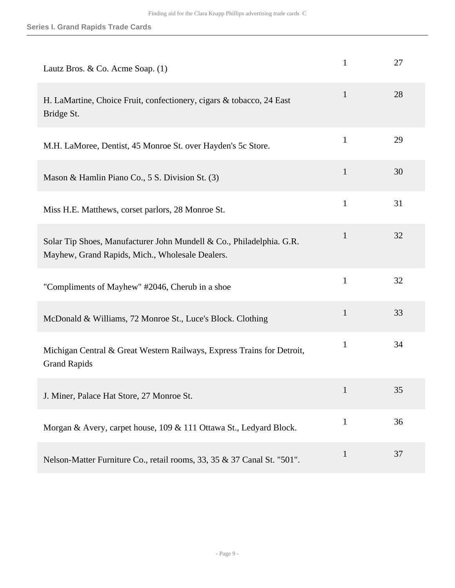| Lautz Bros. & Co. Acme Soap. (1)                                                                                        | $\mathbf{1}$ | 27 |
|-------------------------------------------------------------------------------------------------------------------------|--------------|----|
| H. LaMartine, Choice Fruit, confectionery, cigars & tobacco, 24 East<br>Bridge St.                                      | $\mathbf{1}$ | 28 |
| M.H. LaMoree, Dentist, 45 Monroe St. over Hayden's 5c Store.                                                            | $\mathbf{1}$ | 29 |
| Mason & Hamlin Piano Co., 5 S. Division St. (3)                                                                         | $\mathbf{1}$ | 30 |
| Miss H.E. Matthews, corset parlors, 28 Monroe St.                                                                       | $\mathbf{1}$ | 31 |
| Solar Tip Shoes, Manufacturer John Mundell & Co., Philadelphia. G.R.<br>Mayhew, Grand Rapids, Mich., Wholesale Dealers. | $\mathbf{1}$ | 32 |
| "Compliments of Mayhew" #2046, Cherub in a shoe                                                                         | $\mathbf{1}$ | 32 |
| McDonald & Williams, 72 Monroe St., Luce's Block. Clothing                                                              | $\mathbf{1}$ | 33 |
| Michigan Central & Great Western Railways, Express Trains for Detroit,<br><b>Grand Rapids</b>                           | $\mathbf{1}$ | 34 |
| J. Miner, Palace Hat Store, 27 Monroe St.                                                                               |              | 35 |
| Morgan & Avery, carpet house, 109 & 111 Ottawa St., Ledyard Block.                                                      | $\mathbf{1}$ | 36 |
| Nelson-Matter Furniture Co., retail rooms, 33, 35 & 37 Canal St. "501".                                                 | $\mathbf{1}$ | 37 |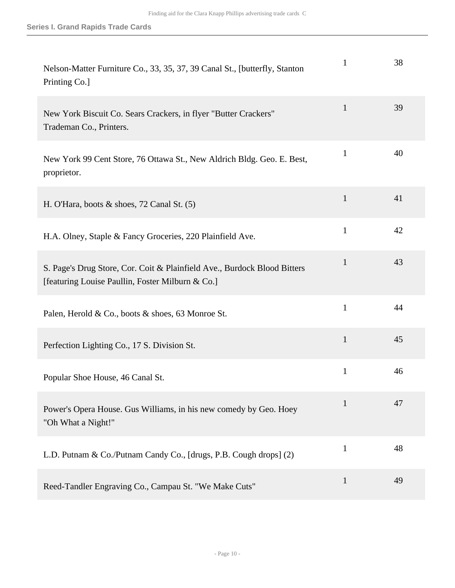| Nelson-Matter Furniture Co., 33, 35, 37, 39 Canal St., [butterfly, Stanton]<br>Printing Co.]                                 | $\mathbf{1}$ | 38 |
|------------------------------------------------------------------------------------------------------------------------------|--------------|----|
| New York Biscuit Co. Sears Crackers, in flyer "Butter Crackers"<br>Trademan Co., Printers.                                   | $\mathbf{1}$ | 39 |
| New York 99 Cent Store, 76 Ottawa St., New Aldrich Bldg. Geo. E. Best,<br>proprietor.                                        | $\mathbf{1}$ | 40 |
| H. O'Hara, boots $\&$ shoes, 72 Canal St. (5)                                                                                | $\mathbf{1}$ | 41 |
| H.A. Olney, Staple & Fancy Groceries, 220 Plainfield Ave.                                                                    | $\mathbf{1}$ | 42 |
| S. Page's Drug Store, Cor. Coit & Plainfield Ave., Burdock Blood Bitters<br>[featuring Louise Paullin, Foster Milburn & Co.] | $\mathbf{1}$ | 43 |
| Palen, Herold & Co., boots & shoes, 63 Monroe St.                                                                            | $\mathbf{1}$ | 44 |
| Perfection Lighting Co., 17 S. Division St.                                                                                  | $\mathbf{1}$ | 45 |
| Popular Shoe House, 46 Canal St.                                                                                             | $\mathbf{1}$ | 46 |
| Power's Opera House. Gus Williams, in his new comedy by Geo. Hoey<br>"Oh What a Night!"                                      | 1            | 47 |
| L.D. Putnam & Co./Putnam Candy Co., [drugs, P.B. Cough drops] (2)                                                            | $\mathbf{1}$ | 48 |
| Reed-Tandler Engraving Co., Campau St. "We Make Cuts"                                                                        | $\mathbf{1}$ | 49 |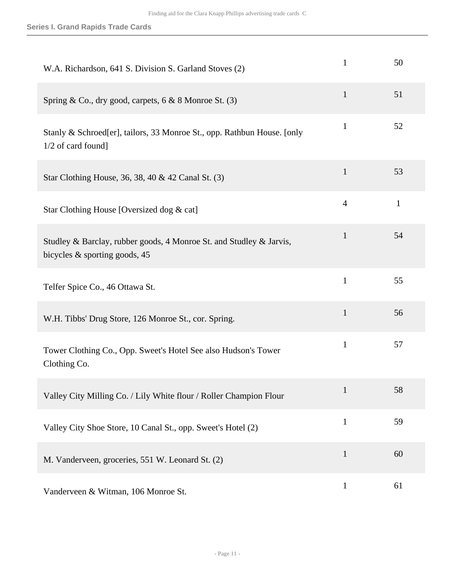| W.A. Richardson, 641 S. Division S. Garland Stoves (2)                                                  | $\mathbf{1}$   | 50           |
|---------------------------------------------------------------------------------------------------------|----------------|--------------|
| Spring & Co., dry good, carpets, $6 \& 8$ Monroe St. (3)                                                | $\mathbf{1}$   | 51           |
| Stanly & Schroed[er], tailors, 33 Monroe St., opp. Rathbun House. [only<br>1/2 of card found]           | $\mathbf{1}$   | 52           |
| Star Clothing House, 36, 38, 40 & 42 Canal St. (3)                                                      | $\mathbf{1}$   | 53           |
| Star Clothing House [Oversized dog & cat]                                                               | $\overline{4}$ | $\mathbf{1}$ |
| Studley & Barclay, rubber goods, 4 Monroe St. and Studley & Jarvis,<br>bicycles $\&$ sporting goods, 45 | $\mathbf{1}$   | 54           |
| Telfer Spice Co., 46 Ottawa St.                                                                         | $\mathbf{1}$   | 55           |
| W.H. Tibbs' Drug Store, 126 Monroe St., cor. Spring.                                                    | $\mathbf{1}$   | 56           |
| Tower Clothing Co., Opp. Sweet's Hotel See also Hudson's Tower<br>Clothing Co.                          | 1              | 57           |
| Valley City Milling Co. / Lily White flour / Roller Champion Flour                                      | 1              | 58           |
| Valley City Shoe Store, 10 Canal St., opp. Sweet's Hotel (2)                                            | $\mathbf{1}$   | 59           |
| M. Vanderveen, groceries, 551 W. Leonard St. (2)                                                        | $\mathbf{1}$   | 60           |
| Vanderveen & Witman, 106 Monroe St.                                                                     | $\mathbf{1}$   | 61           |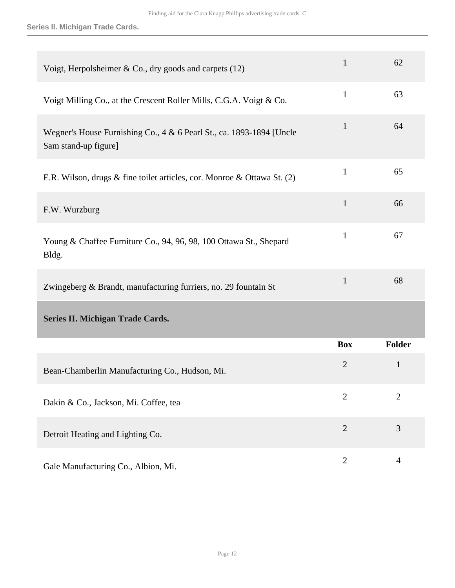**Series II. Michigan Trade Cards.**

<span id="page-11-0"></span>

| Voigt, Herpolsheimer & Co., dry goods and carpets $(12)$                                     | $\mathbf{1}$   | 62             |
|----------------------------------------------------------------------------------------------|----------------|----------------|
| Voigt Milling Co., at the Crescent Roller Mills, C.G.A. Voigt & Co.                          | $\mathbf{1}$   | 63             |
| Wegner's House Furnishing Co., 4 & 6 Pearl St., ca. 1893-1894 [Uncle<br>Sam stand-up figure] | $\mathbf{1}$   | 64             |
| E.R. Wilson, drugs & fine toilet articles, cor. Monroe & Ottawa St. (2)                      | $\mathbf{1}$   | 65             |
| F.W. Wurzburg                                                                                | $\mathbf{1}$   | 66             |
| Young & Chaffee Furniture Co., 94, 96, 98, 100 Ottawa St., Shepard<br>Bldg.                  | $\mathbf{1}$   | 67             |
| Zwingeberg & Brandt, manufacturing furriers, no. 29 fountain St                              | $\mathbf{1}$   | 68             |
| <b>Series II. Michigan Trade Cards.</b>                                                      |                |                |
|                                                                                              | <b>Box</b>     | Folder         |
| Bean-Chamberlin Manufacturing Co., Hudson, Mi.                                               | $\overline{2}$ | $\mathbf{1}$   |
| Dakin & Co., Jackson, Mi. Coffee, tea                                                        | $\overline{2}$ | $\overline{2}$ |
| Detroit Heating and Lighting Co.                                                             | $\overline{2}$ | 3              |
| Gale Manufacturing Co., Albion, Mi.                                                          | $\overline{2}$ | $\overline{4}$ |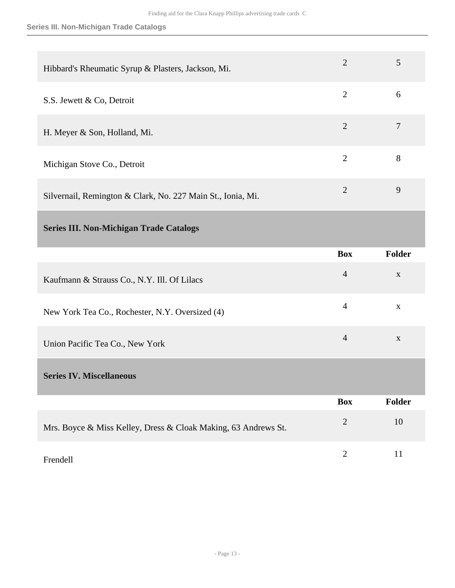<span id="page-12-1"></span><span id="page-12-0"></span>

| Hibbard's Rheumatic Syrup & Plasters, Jackson, Mi.             | $\overline{2}$ | 5               |
|----------------------------------------------------------------|----------------|-----------------|
| S.S. Jewett & Co, Detroit                                      | $\overline{2}$ | 6               |
| H. Meyer & Son, Holland, Mi.                                   | $\overline{2}$ | $7\phantom{.0}$ |
| Michigan Stove Co., Detroit                                    | $\overline{2}$ | 8               |
| Silvernail, Remington & Clark, No. 227 Main St., Ionia, Mi.    | $\overline{2}$ | 9               |
| <b>Series III. Non-Michigan Trade Catalogs</b>                 |                |                 |
|                                                                |                |                 |
|                                                                | <b>Box</b>     | <b>Folder</b>   |
| Kaufmann & Strauss Co., N.Y. Ill. Of Lilacs                    | $\overline{4}$ | $\mathbf X$     |
| New York Tea Co., Rochester, N.Y. Oversized (4)                | $\overline{4}$ | $\mathbf X$     |
| Union Pacific Tea Co., New York                                | $\overline{4}$ | $\mathbf{X}$    |
| <b>Series IV. Miscellaneous</b>                                |                |                 |
|                                                                | <b>Box</b>     | Folder          |
| Mrs. Boyce & Miss Kelley, Dress & Cloak Making, 63 Andrews St. | $\overline{2}$ | 10              |